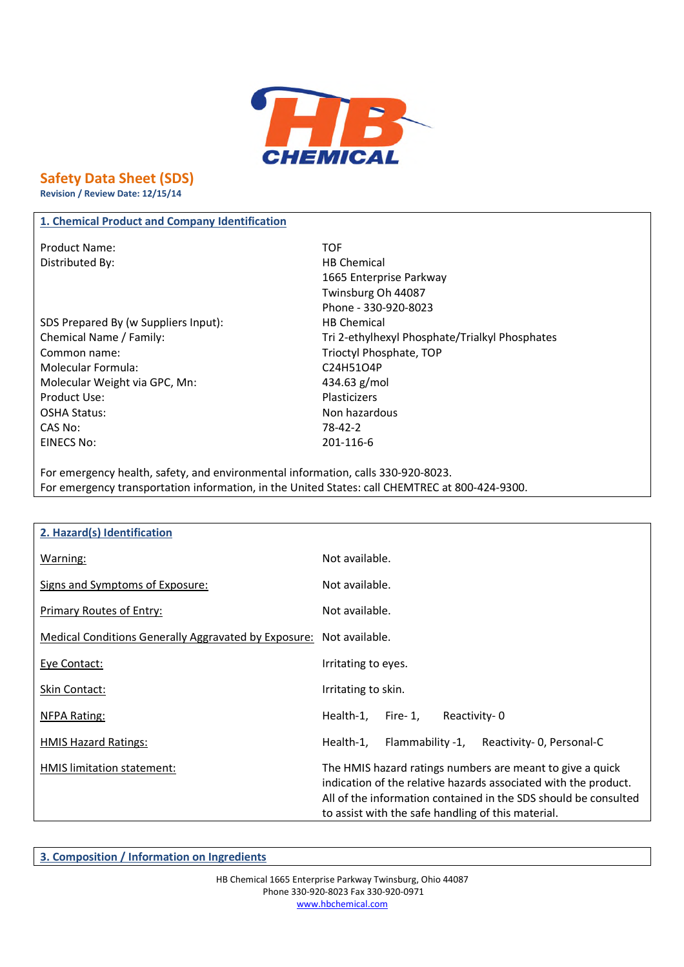

## **Safety Data Sheet (SDS)**

**Revision / Review Date: 12/15/14**

### **1. Chemical Product and Company Identification**

Product Name: TOF Distributed By: Notice and Security 2012 11:30 HB Chemical

SDS Prepared By (w Suppliers Input): HB Chemical Common name: Trioctyl Phosphate, TOP Molecular Formula: C24H51O4P Molecular Weight via GPC, Mn: 434.63 g/mol Product Use: Plasticizers OSHA Status: Non hazardous CAS No: 78-42-2 EINECS No: 201-116-6

# 1665 Enterprise Parkway Twinsburg Oh 44087 Phone - 330-920-8023 Chemical Name / Family: Chemical Name / Family: Tri 2-ethylhexyl Phosphate/Trialkyl Phosphates

For emergency health, safety, and environmental information, calls 330-920-8023. For emergency transportation information, in the United States: call CHEMTREC at 800-424-9300.

| 2. Hazard(s) Identification                          |                                                                                                                                                                                                                                                       |
|------------------------------------------------------|-------------------------------------------------------------------------------------------------------------------------------------------------------------------------------------------------------------------------------------------------------|
| Warning:                                             | Not available.                                                                                                                                                                                                                                        |
| Signs and Symptoms of Exposure:                      | Not available.                                                                                                                                                                                                                                        |
| <b>Primary Routes of Entry:</b>                      | Not available.                                                                                                                                                                                                                                        |
| Medical Conditions Generally Aggravated by Exposure: | Not available.                                                                                                                                                                                                                                        |
| Eye Contact:                                         | Irritating to eyes.                                                                                                                                                                                                                                   |
| <b>Skin Contact:</b>                                 | Irritating to skin.                                                                                                                                                                                                                                   |
| <b>NFPA Rating:</b>                                  | Health-1,<br>Reactivity-0<br>Fire- $1$ ,                                                                                                                                                                                                              |
| <b>HMIS Hazard Ratings:</b>                          | Health-1,<br>Flammability -1, Reactivity-0, Personal-C                                                                                                                                                                                                |
| HMIS limitation statement:                           | The HMIS hazard ratings numbers are meant to give a quick<br>indication of the relative hazards associated with the product.<br>All of the information contained in the SDS should be consulted<br>to assist with the safe handling of this material. |

**3. Composition / Information on Ingredients**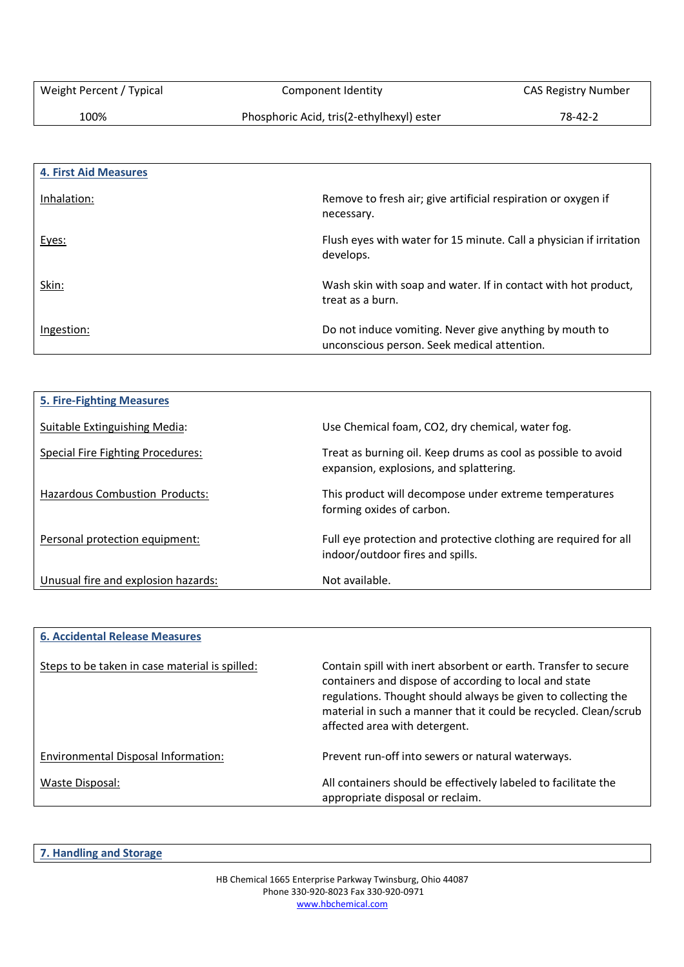100% Phosphoric Acid, tris(2-ethylhexyl) ester 78-42-2

| <b>4. First Aid Measures</b> |                                                                                                        |
|------------------------------|--------------------------------------------------------------------------------------------------------|
| Inhalation:                  | Remove to fresh air; give artificial respiration or oxygen if<br>necessary.                            |
| Eyes:                        | Flush eyes with water for 15 minute. Call a physician if irritation<br>develops.                       |
| Skin:                        | Wash skin with soap and water. If in contact with hot product,<br>treat as a burn.                     |
| Ingestion:                   | Do not induce vomiting. Never give anything by mouth to<br>unconscious person. Seek medical attention. |

| <b>5. Fire-Fighting Measures</b>         |                                                                                                          |
|------------------------------------------|----------------------------------------------------------------------------------------------------------|
| Suitable Extinguishing Media:            | Use Chemical foam, CO2, dry chemical, water fog.                                                         |
| <b>Special Fire Fighting Procedures:</b> | Treat as burning oil. Keep drums as cool as possible to avoid<br>expansion, explosions, and splattering. |
| <b>Hazardous Combustion Products:</b>    | This product will decompose under extreme temperatures<br>forming oxides of carbon.                      |
| Personal protection equipment:           | Full eye protection and protective clothing are required for all<br>indoor/outdoor fires and spills.     |
| Unusual fire and explosion hazards:      | Not available.                                                                                           |

| <b>6. Accidental Release Measures</b>          |                                                                                                                                                                                                                                                                                                 |
|------------------------------------------------|-------------------------------------------------------------------------------------------------------------------------------------------------------------------------------------------------------------------------------------------------------------------------------------------------|
| Steps to be taken in case material is spilled: | Contain spill with inert absorbent or earth. Transfer to secure<br>containers and dispose of according to local and state<br>regulations. Thought should always be given to collecting the<br>material in such a manner that it could be recycled. Clean/scrub<br>affected area with detergent. |
| Environmental Disposal Information:            | Prevent run-off into sewers or natural waterways.                                                                                                                                                                                                                                               |
| Waste Disposal:                                | All containers should be effectively labeled to facilitate the<br>appropriate disposal or reclaim.                                                                                                                                                                                              |

**7. Handling and Storage**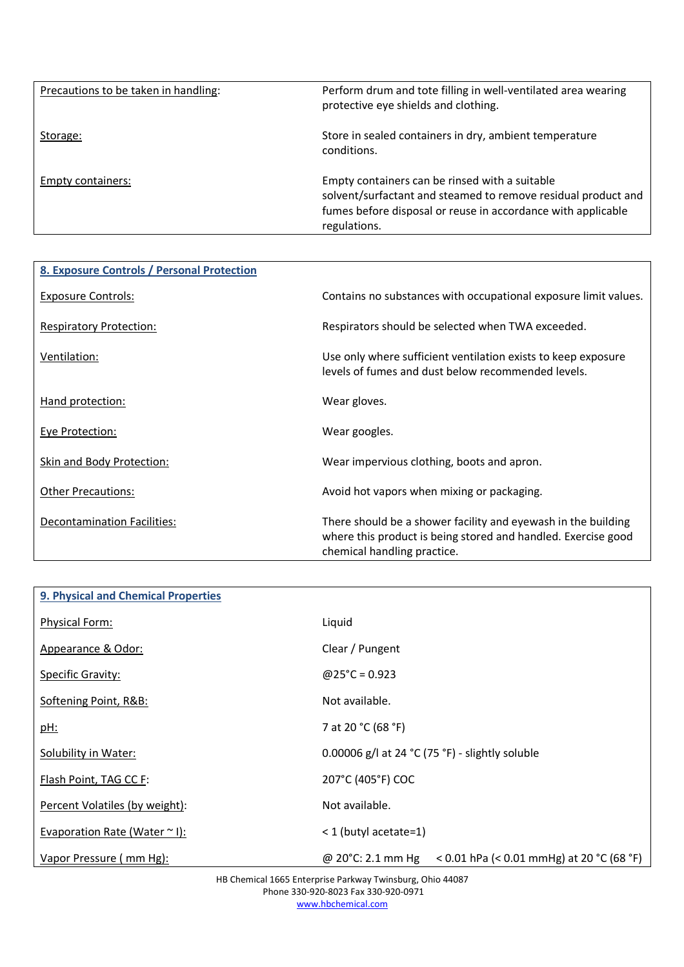| Precautions to be taken in handling: | Perform drum and tote filling in well-ventilated area wearing<br>protective eye shields and clothing.                                                                                           |
|--------------------------------------|-------------------------------------------------------------------------------------------------------------------------------------------------------------------------------------------------|
| Storage:                             | Store in sealed containers in dry, ambient temperature<br>conditions.                                                                                                                           |
| Empty containers:                    | Empty containers can be rinsed with a suitable<br>solvent/surfactant and steamed to remove residual product and<br>fumes before disposal or reuse in accordance with applicable<br>regulations. |

| 8. Exposure Controls / Personal Protection |                                                                                                                                                               |
|--------------------------------------------|---------------------------------------------------------------------------------------------------------------------------------------------------------------|
| Exposure Controls:                         | Contains no substances with occupational exposure limit values.                                                                                               |
| <b>Respiratory Protection:</b>             | Respirators should be selected when TWA exceeded.                                                                                                             |
| Ventilation:                               | Use only where sufficient ventilation exists to keep exposure<br>levels of fumes and dust below recommended levels.                                           |
| Hand protection:                           | Wear gloves.                                                                                                                                                  |
| Eye Protection:                            | Wear googles.                                                                                                                                                 |
| Skin and Body Protection:                  | Wear impervious clothing, boots and apron.                                                                                                                    |
| <b>Other Precautions:</b>                  | Avoid hot vapors when mixing or packaging.                                                                                                                    |
| Decontamination Facilities:                | There should be a shower facility and eyewash in the building<br>where this product is being stored and handled. Exercise good<br>chemical handling practice. |

| 9. Physical and Chemical Properties |                                                                           |
|-------------------------------------|---------------------------------------------------------------------------|
| <b>Physical Form:</b>               | Liquid                                                                    |
| Appearance & Odor:                  | Clear / Pungent                                                           |
| <b>Specific Gravity:</b>            | $@25^{\circ}C = 0.923$                                                    |
| Softening Point, R&B:               | Not available.                                                            |
| <u>pH:</u>                          | 7 at 20 °C (68 °F)                                                        |
| Solubility in Water:                | 0.00006 g/l at 24 $°C$ (75 °F) - slightly soluble                         |
| Flash Point, TAG CC F:              | 207°C (405°F) COC                                                         |
| Percent Volatiles (by weight):      | Not available.                                                            |
| Evaporation Rate (Water $\sim$ I):  | < 1 (butyl acetate=1)                                                     |
| Vapor Pressure (mm Hg):             | < 0.01 hPa (< 0.01 mmHg) at 20 °C (68 °F)<br>@ 20 $^{\circ}$ C: 2.1 mm Hg |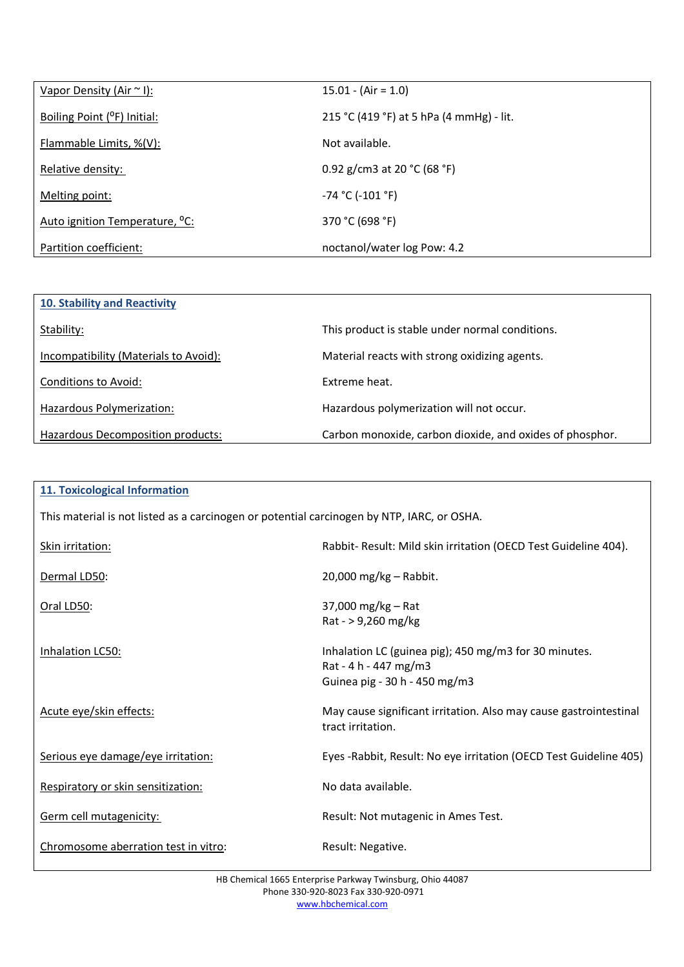| Vapor Density (Air $\sim$ I):              | $15.01 - (Air = 1.0)$                    |
|--------------------------------------------|------------------------------------------|
| Boiling Point (°F) Initial:                | 215 °C (419 °F) at 5 hPa (4 mmHg) - lit. |
| Flammable Limits, %(V):                    | Not available.                           |
| Relative density:                          | 0.92 g/cm3 at 20 $°C$ (68 °F)            |
| Melting point:                             | -74 °C (-101 °F)                         |
| Auto ignition Temperature, <sup>o</sup> C: | 370 °C (698 °F)                          |
| Partition coefficient:                     | noctanol/water log Pow: 4.2              |

| 10. Stability and Reactivity          |                                                          |
|---------------------------------------|----------------------------------------------------------|
| Stability:                            | This product is stable under normal conditions.          |
| Incompatibility (Materials to Avoid): | Material reacts with strong oxidizing agents.            |
| Conditions to Avoid:                  | Extreme heat.                                            |
| Hazardous Polymerization:             | Hazardous polymerization will not occur.                 |
| Hazardous Decomposition products:     | Carbon monoxide, carbon dioxide, and oxides of phosphor. |

| <b>11. Toxicological Information</b>                                                       |                                                                                                                 |  |
|--------------------------------------------------------------------------------------------|-----------------------------------------------------------------------------------------------------------------|--|
| This material is not listed as a carcinogen or potential carcinogen by NTP, IARC, or OSHA. |                                                                                                                 |  |
| Skin irritation:                                                                           | Rabbit- Result: Mild skin irritation (OECD Test Guideline 404).                                                 |  |
| Dermal LD50:                                                                               | 20,000 mg/kg - Rabbit.                                                                                          |  |
| Oral LD50:                                                                                 | 37,000 mg/kg - Rat<br>Rat - > 9,260 mg/kg                                                                       |  |
| Inhalation LC50:                                                                           | Inhalation LC (guinea pig); 450 mg/m3 for 30 minutes.<br>Rat - 4 h - 447 mg/m3<br>Guinea pig - 30 h - 450 mg/m3 |  |
| Acute eye/skin effects:                                                                    | May cause significant irritation. Also may cause gastrointestinal<br>tract irritation.                          |  |
| Serious eye damage/eye irritation:                                                         | Eyes - Rabbit, Result: No eye irritation (OECD Test Guideline 405)                                              |  |
| Respiratory or skin sensitization:                                                         | No data available.                                                                                              |  |
| Germ cell mutagenicity:                                                                    | Result: Not mutagenic in Ames Test.                                                                             |  |
| Chromosome aberration test in vitro:                                                       | Result: Negative.                                                                                               |  |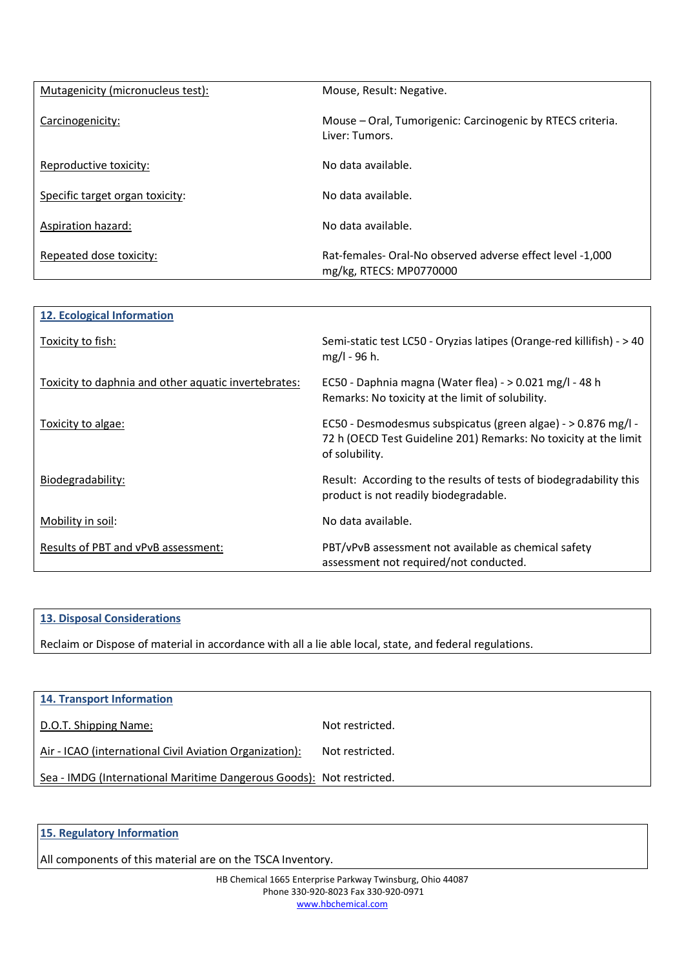| Mutagenicity (micronucleus test): | Mouse, Result: Negative.                                                            |
|-----------------------------------|-------------------------------------------------------------------------------------|
| Carcinogenicity:                  | Mouse – Oral, Tumorigenic: Carcinogenic by RTECS criteria.<br>Liver: Tumors.        |
| Reproductive toxicity:            | No data available.                                                                  |
| Specific target organ toxicity:   | No data available.                                                                  |
| <b>Aspiration hazard:</b>         | No data available.                                                                  |
| Repeated dose toxicity:           | Rat-females-Oral-No observed adverse effect level -1,000<br>mg/kg, RTECS: MP0770000 |

| <b>12. Ecological Information</b>                    |                                                                                                                                                     |
|------------------------------------------------------|-----------------------------------------------------------------------------------------------------------------------------------------------------|
| Toxicity to fish:                                    | Semi-static test LC50 - Oryzias latipes (Orange-red killifish) - > 40<br>mg/l - 96 h.                                                               |
| Toxicity to daphnia and other aquatic invertebrates: | EC50 - Daphnia magna (Water flea) - > 0.021 mg/l - 48 h<br>Remarks: No toxicity at the limit of solubility.                                         |
| Toxicity to algae:                                   | EC50 - Desmodesmus subspicatus (green algae) - > 0.876 mg/l -<br>72 h (OECD Test Guideline 201) Remarks: No toxicity at the limit<br>of solubility. |
| Biodegradability:                                    | Result: According to the results of tests of biodegradability this<br>product is not readily biodegradable.                                         |
| Mobility in soil:                                    | No data available.                                                                                                                                  |
| Results of PBT and vPvB assessment:                  | PBT/vPvB assessment not available as chemical safety<br>assessment not required/not conducted.                                                      |

#### **13. Disposal Considerations**

Reclaim or Dispose of material in accordance with all a lie able local, state, and federal regulations.

| <b>14. Transport Information</b>                                     |                 |
|----------------------------------------------------------------------|-----------------|
| D.O.T. Shipping Name:                                                | Not restricted. |
| Air - ICAO (international Civil Aviation Organization):              | Not restricted. |
| Sea - IMDG (International Maritime Dangerous Goods): Not restricted. |                 |

**15. Regulatory Information**

All components of this material are on the TSCA Inventory.